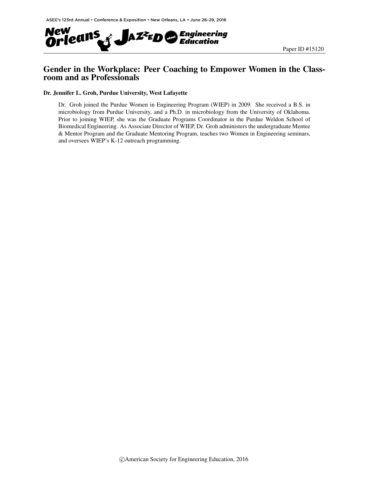

## Gender in the Workplace: Peer Coaching to Empower Women in the Classroom and as Professionals

#### Dr. Jennifer L. Groh, Purdue University, West Lafayette

Dr. Groh joined the Purdue Women in Engineering Program (WIEP) in 2009. She received a B.S. in microbiology from Purdue University, and a Ph.D. in microbiology from the University of Oklahoma. Prior to joining WIEP, she was the Graduate Programs Coordinator in the Purdue Weldon School of Biomedical Engineering. As Associate Director of WIEP, Dr. Groh administers the undergraduate Mentee & Mentor Program and the Graduate Mentoring Program, teaches two Women in Engineering seminars, and oversees WIEP's K-12 outreach programming.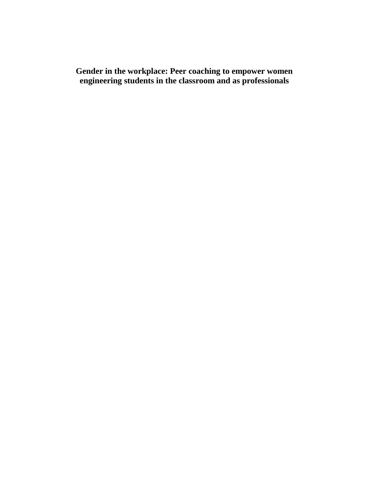**Gender in the workplace: Peer coaching to empower women engineering students in the classroom and as professionals**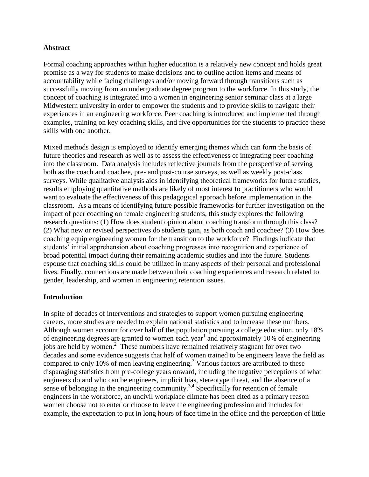#### **Abstract**

Formal coaching approaches within higher education is a relatively new concept and holds great promise as a way for students to make decisions and to outline action items and means of accountability while facing challenges and/or moving forward through transitions such as successfully moving from an undergraduate degree program to the workforce. In this study, the concept of coaching is integrated into a women in engineering senior seminar class at a large Midwestern university in order to empower the students and to provide skills to navigate their experiences in an engineering workforce. Peer coaching is introduced and implemented through examples, training on key coaching skills, and five opportunities for the students to practice these skills with one another.

Mixed methods design is employed to identify emerging themes which can form the basis of future theories and research as well as to assess the effectiveness of integrating peer coaching into the classroom. Data analysis includes reflective journals from the perspective of serving both as the coach and coachee, pre- and post-course surveys, as well as weekly post-class surveys. While qualitative analysis aids in identifying theoretical frameworks for future studies, results employing quantitative methods are likely of most interest to practitioners who would want to evaluate the effectiveness of this pedagogical approach before implementation in the classroom. As a means of identifying future possible frameworks for further investigation on the impact of peer coaching on female engineering students, this study explores the following research questions: (1) How does student opinion about coaching transform through this class? (2) What new or revised perspectives do students gain, as both coach and coachee? (3) How does coaching equip engineering women for the transition to the workforce? Findings indicate that students' initial apprehension about coaching progresses into recognition and experience of broad potential impact during their remaining academic studies and into the future. Students espouse that coaching skills could be utilized in many aspects of their personal and professional lives. Finally, connections are made between their coaching experiences and research related to gender, leadership, and women in engineering retention issues.

## **Introduction**

In spite of decades of interventions and strategies to support women pursuing engineering careers, more studies are needed to explain national statistics and to increase these numbers. Although women account for over half of the population pursuing a college education, only 18% of engineering degrees are granted to women each year<sup>1</sup> and approximately 10% of engineering jobs are held by women. 2 These numbers have remained relatively stagnant for over two decades and some evidence suggests that half of women trained to be engineers leave the field as compared to only 10% of men leaving engineering. <sup>3</sup> Various factors are attributed to these disparaging statistics from pre-college years onward, including the negative perceptions of what engineers do and who can be engineers, implicit bias, stereotype threat, and the absence of a sense of belonging in the engineering community.<sup>3,4</sup> Specifically for retention of female engineers in the workforce, an uncivil workplace climate has been cited as a primary reason women choose not to enter or choose to leave the engineering profession and includes for example, the expectation to put in long hours of face time in the office and the perception of little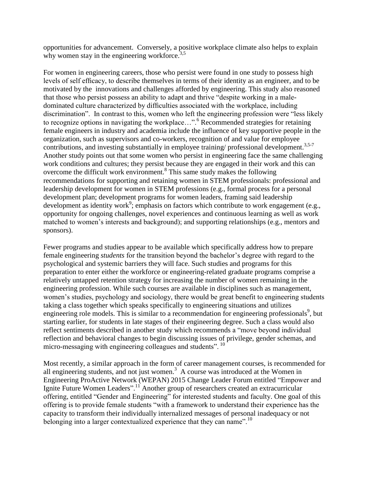opportunities for advancement. Conversely, a positive workplace climate also helps to explain why women stay in the engineering workforce.  $3.5$ 

For women in engineering careers, those who persist were found in one study to possess high levels of self efficacy, to describe themselves in terms of their identity as an engineer, and to be motivated by the innovations and challenges afforded by engineering. This study also reasoned that those who persist possess an ability to adapt and thrive "despite working in a maledominated culture characterized by difficulties associated with the workplace, including discrimination". In contrast to this, women who left the engineering profession were "less likely to recognize options in navigating the workplace...".<sup>6</sup> Recommended strategies for retaining female engineers in industry and academia include the influence of key supportive people in the organization, such as supervisors and co-workers, recognition of and value for employee contributions, and investing substantially in employee training/ professional development.<sup>3,5-7</sup> Another study points out that some women who persist in engineering face the same challenging work conditions and cultures; they persist because they are engaged in their work and this can overcome the difficult work environment. 8 This same study makes the following recommendations for supporting and retaining women in STEM professionals: professional and leadership development for women in STEM professions (e.g., formal process for a personal development plan; development programs for women leaders, framing said leadership development as identity work<sup>9</sup>; emphasis on factors which contribute to work engagement (e.g., opportunity for ongoing challenges, novel experiences and continuous learning as well as work matched to women's interests and background); and supporting relationships (e.g., mentors and sponsors).

Fewer programs and studies appear to be available which specifically address how to prepare female engineering *students* for the transition beyond the bachelor's degree with regard to the psychological and systemic barriers they will face. Such studies and programs for this preparation to enter either the workforce or engineering-related graduate programs comprise a relatively untapped retention strategy for increasing the number of women remaining in the engineering profession. While such courses are available in disciplines such as management, women's studies, psychology and sociology, there would be great benefit to engineering students taking a class together which speaks specifically to engineering situations and utilizes engineering role models. This is similar to a recommendation for engineering professionals<sup>9</sup>, but starting earlier, for students in late stages of their engineering degree. Such a class would also reflect sentiments described in another study which recommends a "move beyond individual reflection and behavioral changes to begin discussing issues of privilege, gender schemas, and micro-messaging with engineering colleagues and students". <sup>10</sup>

Most recently, a similar approach in the form of career management courses, is recommended for all engineering students, and not just women.<sup>3</sup> A course was introduced at the Women in Engineering ProActive Network (WEPAN) 2015 Change Leader Forum entitled "Empower and Ignite Future Women Leaders".<sup>11</sup> Another group of researchers created an extracurricular offering, entitled "Gender and Engineering" for interested students and faculty. One goal of this offering is to provide female students "with a framework to understand their experience has the capacity to transform their individually internalized messages of personal inadequacy or not belonging into a larger contextualized experience that they can name".<sup>10</sup>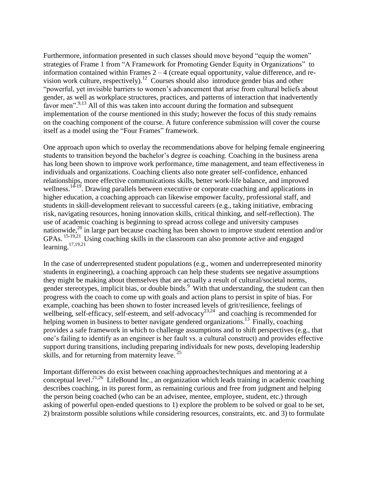Furthermore, information presented in such classes should move beyond "equip the women" strategies of Frame 1 from "A Framework for Promoting Gender Equity in Organizations" to information contained within Frames  $2 - 4$  (create equal opportunity, value difference, and revision work culture, respectively).<sup>12</sup> Courses should also introduce gender bias and other "powerful, yet invisible barriers to women's advancement that arise from cultural beliefs about gender, as well as workplace structures, practices, and patterns of interaction that inadvertently favor men".<sup>9,13</sup> All of this was taken into account during the formation and subsequent implementation of the course mentioned in this study; however the focus of this study remains on the coaching component of the course. A future conference submission will cover the course itself as a model using the "Four Frames" framework.

One approach upon which to overlay the recommendations above for helping female engineering students to transition beyond the bachelor's degree is coaching. Coaching in the business arena has long been shown to improve work performance, time management, and team effectiveness in individuals and organizations. Coaching clients also note greater self-confidence, enhanced relationships, more effective communications skills, better work-life balance, and improved wellness.<sup>14-19</sup>. Drawing parallels between executive or corporate coaching and applications in higher education, a coaching approach can likewise empower faculty, professional staff, and students in skill-development relevant to successful careers (e.g., taking initiative, embracing risk, navigating resources, honing innovation skills, critical thinking, and self-reflection). The use of academic coaching is beginning to spread across college and university campuses nationwide, <sup>20</sup> in large part because coaching has been shown to improve student retention and/or GPAs.<sup>15-19,21</sup> Using coaching skills in the classroom can also promote active and engaged learning.<sup>17,19,21</sup>

In the case of underrepresented student populations (e.g., women and underrepresented minority students in engineering), a coaching approach can help these students see negative assumptions they might be making about themselves that are actually a result of cultural/societal norms, gender stereotypes, implicit bias, or double binds.<sup>9</sup> With that understanding, the student can then progress with the coach to come up with goals and action plans to persist in spite of bias. For example, coaching has been shown to foster increased levels of grit/resilience, feelings of wellbeing, self-efficacy, self-esteem, and self-advocacy<sup>23,24</sup> and coaching is recommended for helping women in business to better navigate gendered organizations.<sup>13</sup> Finally, coaching provides a safe framework in which to challenge assumptions and to shift perspectives (e.g., that one's failing to identify as an engineer is her fault vs. a cultural construct) and provides effective support during transitions, including preparing individuals for new posts, developing leadership skills, and for returning from maternity leave.  $25$ 

Important differences do exist between coaching approaches/techniques and mentoring at a conceptual level.<sup>21,26</sup> LifeBound Inc., an organization which leads training in academic coaching describes coaching, in its purest form, as remaining curious and free from judgment and helping the person being coached (who can be an advisee, mentee, employee, student, etc.) through asking of powerful open-ended questions to 1) explore the problem to be solved or goal to be set, 2) brainstorm possible solutions while considering resources, constraints, etc. and 3) to formulate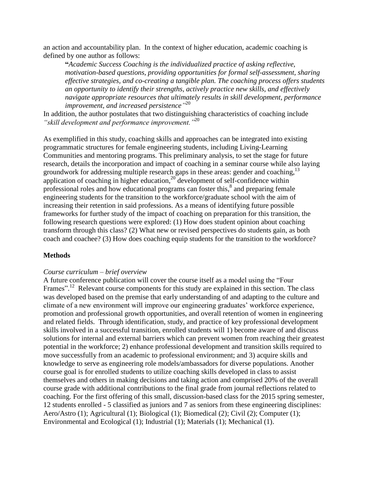an action and accountability plan. In the context of higher education, academic coaching is defined by one author as follows:

**"***Academic Success Coaching is the individualized practice of asking reflective, motivation-based questions, providing opportunities for formal self-assessment, sharing effective strategies, and co-creating a tangible plan. The coaching process offers students an opportunity to identify their strengths, actively practice new skills, and effectively navigate appropriate resources that ultimately results in skill development, performance improvement, and increased persistence"* 20

In addition, the author postulates that two distinguishing characteristics of coaching include *"skill development and performance improvement."*<sup>20</sup>

As exemplified in this study, coaching skills and approaches can be integrated into existing programmatic structures for female engineering students, including Living-Learning Communities and mentoring programs. This preliminary analysis, to set the stage for future research, details the incorporation and impact of coaching in a seminar course while also laying groundwork for addressing multiple research gaps in these areas: gender and coaching,<sup>13</sup> application of coaching in higher education,  $20^{\circ}$  development of self-confidence within professional roles and how educational programs can foster this,<sup>8</sup> and preparing female engineering students for the transition to the workforce/graduate school with the aim of increasing their retention in said professions. As a means of identifying future possible frameworks for further study of the impact of coaching on preparation for this transition, the following research questions were explored: (1) How does student opinion about coaching transform through this class? (2) What new or revised perspectives do students gain, as both coach and coachee? (3) How does coaching equip students for the transition to the workforce?

#### **Methods**

#### *Course curriculum – brief overview*

A future conference publication will cover the course itself as a model using the "Four Frames".<sup>12</sup> Relevant course components for this study are explained in this section. The class was developed based on the premise that early understanding of and adapting to the culture and climate of a new environment will improve our engineering graduates' workforce experience, promotion and professional growth opportunities, and overall retention of women in engineering and related fields. Through identification, study, and practice of key professional development skills involved in a successful transition, enrolled students will 1) become aware of and discuss solutions for internal and external barriers which can prevent women from reaching their greatest potential in the workforce; 2) enhance professional development and transition skills required to move successfully from an academic to professional environment; and 3) acquire skills and knowledge to serve as engineering role models/ambassadors for diverse populations. Another course goal is for enrolled students to utilize coaching skills developed in class to assist themselves and others in making decisions and taking action and comprised 20% of the overall course grade with additional contributions to the final grade from journal reflections related to coaching. For the first offering of this small, discussion-based class for the 2015 spring semester, 12 students enrolled - 5 classified as juniors and 7 as seniors from these engineering disciplines: Aero/Astro (1); Agricultural (1); Biological (1); Biomedical (2); Civil (2); Computer (1); Environmental and Ecological (1); Industrial (1); Materials (1); Mechanical (1).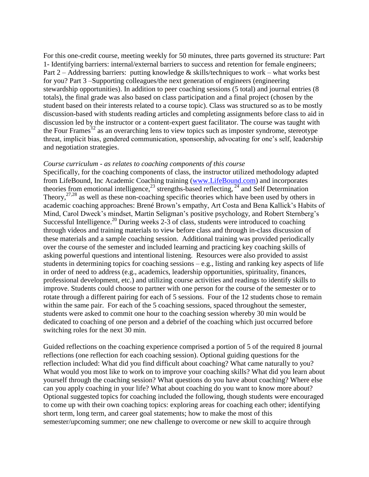For this one-credit course, meeting weekly for 50 minutes, three parts governed its structure: Part 1- Identifying barriers: internal/external barriers to success and retention for female engineers; Part 2 – Addressing barriers: putting knowledge & skills/techniques to work – what works best for you? Part 3 –Supporting colleagues/the next generation of engineers (engineering stewardship opportunities). In addition to peer coaching sessions (5 total) and journal entries (8 totals), the final grade was also based on class participation and a final project (chosen by the student based on their interests related to a course topic). Class was structured so as to be mostly discussion-based with students reading articles and completing assignments before class to aid in discussion led by the instructor or a content-expert guest facilitator. The course was taught with the Four Frames<sup>12</sup> as an overarching lens to view topics such as imposter syndrome, stereotype threat, implicit bias, gendered communication, sponsorship, advocating for one's self, leadership and negotiation strategies.

#### *Course curriculum - as relates to coaching components of this course*

Specifically, for the coaching components of class, the instructor utilized methodology adapted from LifeBound, Inc Academic Coaching training [\(www.LifeBound.com\)](http://www.lifebound.com/) and incorporates theories from emotional intelligence,<sup>23</sup> strengths-based reflecting,  $24$  and Self Determination Theory,  $27,28$  as well as these non-coaching specific theories which have been used by others in academic coaching approaches: Brené Brown's empathy, Art Costa and Bena Kallick's Habits of Mind, Carol Dweck's mindset, Martin Seligman's positive psychology, and Robert Sternberg's Successful Intelligence.<sup>20</sup> During weeks 2-3 of class, students were introduced to coaching through videos and training materials to view before class and through in-class discussion of these materials and a sample coaching session. Additional training was provided periodically over the course of the semester and included learning and practicing key coaching skills of asking powerful questions and intentional listening. Resources were also provided to assist students in determining topics for coaching sessions  $-e.g.,$  listing and ranking key aspects of life in order of need to address (e.g., academics, leadership opportunities, spirituality, finances, professional development, etc.) and utilizing course activities and readings to identify skills to improve. Students could choose to partner with one person for the course of the semester or to rotate through a different pairing for each of 5 sessions. Four of the 12 students chose to remain within the same pair. For each of the 5 coaching sessions, spaced throughout the semester, students were asked to commit one hour to the coaching session whereby 30 min would be dedicated to coaching of one person and a debrief of the coaching which just occurred before switching roles for the next 30 min.

Guided reflections on the coaching experience comprised a portion of 5 of the required 8 journal reflections (one reflection for each coaching session). Optional guiding questions for the reflection included: What did you find difficult about coaching? What came naturally to you? What would you most like to work on to improve your coaching skills? What did you learn about yourself through the coaching session? What questions do you have about coaching? Where else can you apply coaching in your life? What about coaching do you want to know more about? Optional suggested topics for coaching included the following, though students were encouraged to come up with their own coaching topics: exploring areas for coaching each other; identifying short term, long term, and career goal statements; how to make the most of this semester/upcoming summer; one new challenge to overcome or new skill to acquire through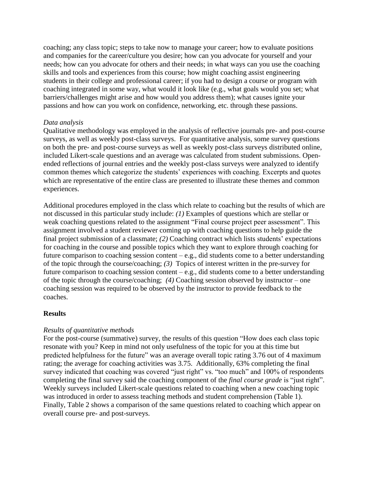coaching; any class topic; steps to take now to manage your career; how to evaluate positions and companies for the career/culture you desire; how can you advocate for yourself and your needs; how can you advocate for others and their needs; in what ways can you use the coaching skills and tools and experiences from this course; how might coaching assist engineering students in their college and professional career; if you had to design a course or program with coaching integrated in some way, what would it look like (e.g., what goals would you set; what barriers/challenges might arise and how would you address them); what causes ignite your passions and how can you work on confidence, networking, etc. through these passions.

#### *Data analysis*

Qualitative methodology was employed in the analysis of reflective journals pre- and post-course surveys, as well as weekly post-class surveys. For quantitative analysis, some survey questions on both the pre- and post-course surveys as well as weekly post-class surveys distributed online, included Likert-scale questions and an average was calculated from student submissions. Openended reflections of journal entries and the weekly post-class surveys were analyzed to identify common themes which categorize the students' experiences with coaching. Excerpts and quotes which are representative of the entire class are presented to illustrate these themes and common experiences.

Additional procedures employed in the class which relate to coaching but the results of which are not discussed in this particular study include: *(1)* Examples of questions which are stellar or weak coaching questions related to the assignment "Final course project peer assessment". This assignment involved a student reviewer coming up with coaching questions to help guide the final project submission of a classmate; *(2)* Coaching contract which lists students' expectations for coaching in the course and possible topics which they want to explore through coaching for future comparison to coaching session content – e.g., did students come to a better understanding of the topic through the course/coaching; *(3)* Topics of interest written in the pre-survey for future comparison to coaching session content – e.g., did students come to a better understanding of the topic through the course/coaching; *(4)* Coaching session observed by instructor – one coaching session was required to be observed by the instructor to provide feedback to the coaches.

#### **Results**

#### *Results of quantitative methods*

For the post-course (summative) survey, the results of this question "How does each class topic resonate with you? Keep in mind not only usefulness of the topic for you at this time but predicted helpfulness for the future" was an average overall topic rating 3.76 out of 4 maximum rating; the average for coaching activities was 3.75. Additionally, 63% completing the final survey indicated that coaching was covered "just right" vs. "too much" and 100% of respondents completing the final survey said the coaching component of the *final course grade* is "just right". Weekly surveys included Likert-scale questions related to coaching when a new coaching topic was introduced in order to assess teaching methods and student comprehension (Table 1). Finally, Table 2 shows a comparison of the same questions related to coaching which appear on overall course pre- and post-surveys.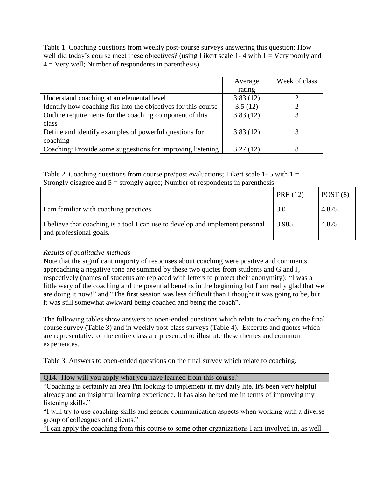Table 1. Coaching questions from weekly post-course surveys answering this question: How well did today's course meet these objectives? (using Likert scale 1-4 with  $1 = \text{Very poorly and}$ )  $4 = \text{Very well};$  Number of respondents in parenthesis)

|                                                                | Average  | Week of class |
|----------------------------------------------------------------|----------|---------------|
|                                                                | rating   |               |
| Understand coaching at an elemental level                      | 3.83(12) |               |
| Identify how coaching fits into the objectives for this course | 3.5(12)  |               |
| Outline requirements for the coaching component of this        | 3.83(12) |               |
| class                                                          |          |               |
| Define and identify examples of powerful questions for         | 3.83(12) |               |
| coaching                                                       |          |               |
| Coaching: Provide some suggestions for improving listening     | 3.27(12) |               |

Table 2. Coaching questions from course pre/post evaluations; Likert scale 1-5 with  $1 =$ Strongly disagree and 5 = strongly agree; Number of respondents in parenthesis.

|                                                                                                          | PRE(12) | POST(8) |
|----------------------------------------------------------------------------------------------------------|---------|---------|
| I am familiar with coaching practices.                                                                   | 3.0     | 4.875   |
| I believe that coaching is a tool I can use to develop and implement personal<br>and professional goals. | 3.985   | 4.875   |

## *Results of qualitative methods*

Note that the significant majority of responses about coaching were positive and comments approaching a negative tone are summed by these two quotes from students and G and J, respectively (names of students are replaced with letters to protect their anonymity): "I was a little wary of the coaching and the potential benefits in the beginning but I am really glad that we are doing it now!" and "The first session was less difficult than I thought it was going to be, but it was still somewhat awkward being coached and being the coach".

The following tables show answers to open-ended questions which relate to coaching on the final course survey (Table 3) and in weekly post-class surveys (Table 4). Excerpts and quotes which are representative of the entire class are presented to illustrate these themes and common experiences.

Table 3. Answers to open-ended questions on the final survey which relate to coaching.

| Q14. How will you apply what you have learned from this course?                                  |
|--------------------------------------------------------------------------------------------------|
| "Coaching is certainly an area I'm looking to implement in my daily life. It's been very helpful |
| already and an insightful learning experience. It has also helped me in terms of improving my    |
| listening skills."                                                                               |

"I will try to use coaching skills and gender communication aspects when working with a diverse group of colleagues and clients."

"I can apply the coaching from this course to some other organizations I am involved in, as well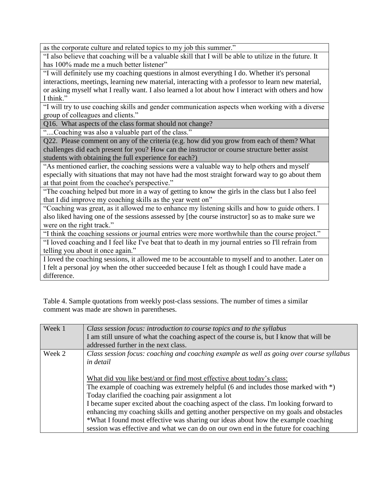as the corporate culture and related topics to my job this summer."

"I also believe that coaching will be a valuable skill that I will be able to utilize in the future. It has 100% made me a much better listener"

"I will definitely use my coaching questions in almost everything I do. Whether it's personal interactions, meetings, learning new material, interacting with a professor to learn new material, or asking myself what I really want. I also learned a lot about how I interact with others and how I think."

"I will try to use coaching skills and gender communication aspects when working with a diverse group of colleagues and clients."

Q16. What aspects of the class format should not change?

"....Coaching was also a valuable part of the class."

Q22. Please comment on any of the criteria (e.g. how did you grow from each of them? What challenges did each present for you? How can the instructor or course structure better assist students with obtaining the full experience for each?)

"As mentioned earlier, the coaching sessions were a valuable way to help others and myself especially with situations that may not have had the most straight forward way to go about them at that point from the coachee's perspective."

"The coaching helped but more in a way of getting to know the girls in the class but I also feel that I did improve my coaching skills as the year went on"

"Coaching was great, as it allowed me to enhance my listening skills and how to guide others. I also liked having one of the sessions assessed by [the course instructor] so as to make sure we were on the right track."

"I think the coaching sessions or journal entries were more worthwhile than the course project." "I loved coaching and I feel like I've beat that to death in my journal entries so I'll refrain from telling you about it once again."

I loved the coaching sessions, it allowed me to be accountable to myself and to another. Later on I felt a personal joy when the other succeeded because I felt as though I could have made a difference.

Table 4. Sample quotations from weekly post-class sessions. The number of times a similar comment was made are shown in parentheses.

| Week 1 | Class session focus: introduction to course topics and to the syllabus                   |
|--------|------------------------------------------------------------------------------------------|
|        | I am still unsure of what the coaching aspect of the course is, but I know that will be  |
|        | addressed further in the next class.                                                     |
| Week 2 | Class session focus: coaching and coaching example as well as going over course syllabus |
|        | <i>in detail</i>                                                                         |
|        |                                                                                          |
|        | What did you like best/and or find most effective about today's class:                   |
|        | The example of coaching was extremely helpful (6 and includes those marked with $*)$ )   |
|        | Today clarified the coaching pair assignment a lot                                       |
|        | I became super excited about the coaching aspect of the class. I'm looking forward to    |
|        | enhancing my coaching skills and getting another perspective on my goals and obstacles   |
|        | *What I found most effective was sharing our ideas about how the example coaching        |
|        | session was effective and what we can do on our own end in the future for coaching       |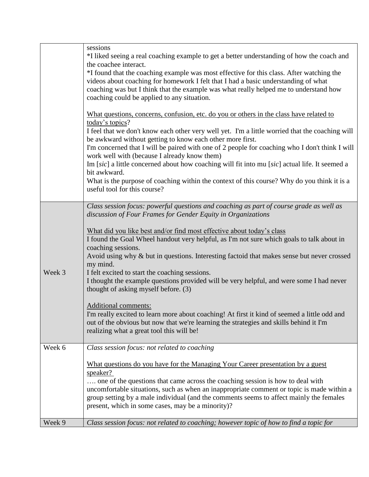|        | sessions<br>*I liked seeing a real coaching example to get a better understanding of how the coach and<br>the coachee interact.<br>*I found that the coaching example was most effective for this class. After watching the                                        |
|--------|--------------------------------------------------------------------------------------------------------------------------------------------------------------------------------------------------------------------------------------------------------------------|
|        | videos about coaching for homework I felt that I had a basic understanding of what<br>coaching was but I think that the example was what really helped me to understand how<br>coaching could be applied to any situation.                                         |
|        | What questions, concerns, confusion, etc. do you or others in the class have related to<br>today's topics?                                                                                                                                                         |
|        | I feel that we don't know each other very well yet. I'm a little worried that the coaching will<br>be awkward without getting to know each other more first.<br>I'm concerned that I will be paired with one of 2 people for coaching who I don't think I will     |
|        | work well with (because I already know them)<br>Im [sic] a little concerned about how coaching will fit into mu [sic] actual life. It seemed a<br>bit awkward.                                                                                                     |
|        | What is the purpose of coaching within the context of this course? Why do you think it is a<br>useful tool for this course?                                                                                                                                        |
|        | Class session focus: powerful questions and coaching as part of course grade as well as<br>discussion of Four Frames for Gender Equity in Organizations                                                                                                            |
|        | What did you like best and/or find most effective about today's class<br>I found the Goal Wheel handout very helpful, as I'm not sure which goals to talk about in<br>coaching sessions.                                                                           |
| Week 3 | Avoid using why & but in questions. Interesting factoid that makes sense but never crossed<br>my mind.<br>I felt excited to start the coaching sessions.                                                                                                           |
|        | I thought the example questions provided will be very helpful, and were some I had never<br>thought of asking myself before. (3)                                                                                                                                   |
|        | <b>Additional comments:</b><br>I'm really excited to learn more about coaching! At first it kind of seemed a little odd and<br>out of the obvious but now that we're learning the strategies and skills behind it I'm<br>realizing what a great tool this will be! |
| Week 6 | Class session focus: not related to coaching                                                                                                                                                                                                                       |
|        | What questions do you have for the Managing Your Career presentation by a guest<br>speaker?<br>one of the questions that came across the coaching session is how to deal with                                                                                      |
|        | uncomfortable situations, such as when an inappropriate comment or topic is made within a<br>group setting by a male individual (and the comments seems to affect mainly the females<br>present, which in some cases, may be a minority)?                          |
| Week 9 | Class session focus: not related to coaching; however topic of how to find a topic for                                                                                                                                                                             |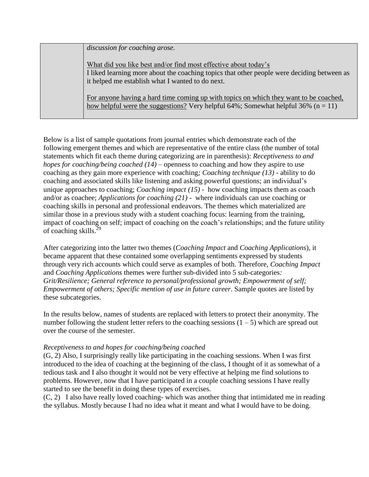*discussion for coaching arose.*

What did you like best and/or find most effective about today's I liked learning more about the coaching topics that other people were deciding between as it helped me establish what I wanted to do next.

For anyone having a hard time coming up with topics on which they want to be coached, how helpful were the suggestions? Very helpful  $64\%$ ; Somewhat helpful  $36\%$  (n = 11)

Below is a list of sample quotations from journal entries which demonstrate each of the following emergent themes and which are representative of the entire class (the number of total statements which fit each theme during categorizing are in parenthesis): *Receptiveness to and hopes for coaching/being coached (14) –* openness to coaching and how they aspire to use coaching as they gain more experience with coaching*; Coaching technique (13)* - ability to do coaching and associated skills like listening and asking powerful questions; an individual's unique approaches to coaching; *Coaching impact (15) -* how coaching impacts them as coach and/or as coachee; *Applications for coaching (21) -* where individuals can use coaching or coaching skills in personal and professional endeavors. The themes which materialized are similar those in a previous study with a student coaching focus: learning from the training, impact of coaching on self; impact of coaching on the coach's relationships; and the future utility of coaching skills. $^{29}$ 

After categorizing into the latter two themes (*Coaching Impact* and *Coaching Applications*), it became apparent that these contained some overlapping sentiments expressed by students through very rich accounts which could serve as examples of both. Therefore, *Coaching Impact*  and *Coaching Applications* themes were further sub-divided into 5 sub-categories*: Grit/Resilience; General reference to personal/professional growth; Empowerment of self; Empowerment of others; Specific mention of use in future career*. Sample quotes are listed by these subcategories.

In the results below, names of students are replaced with letters to protect their anonymity. The number following the student letter refers to the coaching sessions  $(1 – 5)$  which are spread out over the course of the semester.

## *Receptiveness to and hopes for coaching/being coached*

(G, 2) Also, I surprisingly really like participating in the coaching sessions. When I was first introduced to the idea of coaching at the beginning of the class, I thought of it as somewhat of a tedious task and I also thought it would not be very effective at helping me find solutions to problems. However, now that I have participated in a couple coaching sessions I have really started to see the benefit in doing these types of exercises.

(C, 2) I also have really loved coaching- which was another thing that intimidated me in reading the syllabus. Mostly because I had no idea what it meant and what I would have to be doing.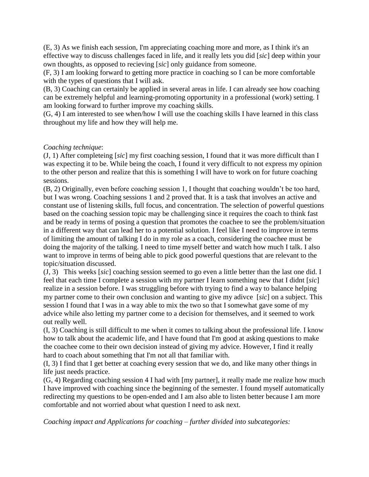(E, 3) As we finish each session, I'm appreciating coaching more and more, as I think it's an effective way to discuss challenges faced in life, and it really lets you did [*sic*] deep within your own thoughts, as opposed to recieving [*sic*] only guidance from someone.

(F, 3) I am looking forward to getting more practice in coaching so I can be more comfortable with the types of questions that I will ask.

(B, 3) Coaching can certainly be applied in several areas in life. I can already see how coaching can be extremely helpful and learning-promoting opportunity in a professional (work) setting. I am looking forward to further improve my coaching skills.

(G, 4) I am interested to see when/how I will use the coaching skills I have learned in this class throughout my life and how they will help me.

## *Coaching technique*:

(J, 1) After completeing [*sic*] my first coaching session, I found that it was more difficult than I was expecting it to be. While being the coach, I found it very difficult to not express my opinion to the other person and realize that this is something I will have to work on for future coaching sessions.

(B, 2) Originally, even before coaching session 1, I thought that coaching wouldn't be too hard, but I was wrong. Coaching sessions 1 and 2 proved that. It is a task that involves an active and constant use of listening skills, full focus, and concentration. The selection of powerful questions based on the coaching session topic may be challenging since it requires the coach to think fast and be ready in terms of posing a question that promotes the coachee to see the problem/situation in a different way that can lead her to a potential solution. I feel like I need to improve in terms of limiting the amount of talking I do in my role as a coach, considering the coachee must be doing the majority of the talking. I need to time myself better and watch how much I talk. I also want to improve in terms of being able to pick good powerful questions that are relevant to the topic/situation discussed.

(J, 3) This weeks [*sic*] coaching session seemed to go even a little better than the last one did. I feel that each time I complete a session with my partner I learn something new that I didnt [*sic*] realize in a session before. I was struggling before with trying to find a way to balance helping my partner come to their own conclusion and wanting to give my adivce [*sic*] on a subject. This session I found that I was in a way able to mix the two so that I somewhat gave some of my advice while also letting my partner come to a decision for themselves, and it seemed to work out really well.

(I, 3) Coaching is still difficult to me when it comes to talking about the professional life. I know how to talk about the academic life, and I have found that I'm good at asking questions to make the coachee come to their own decision instead of giving my advice. However, I find it really hard to coach about something that I'm not all that familiar with.

(I, 3) I find that I get better at coaching every session that we do, and like many other things in life just needs practice.

(G, 4) Regarding coaching session 4 I had with [my partner], it really made me realize how much I have improved with coaching since the beginning of the semester. I found myself automatically redirecting my questions to be open-ended and I am also able to listen better because I am more comfortable and not worried about what question I need to ask next.

*Coaching impact and Applications for coaching – further divided into subcategories:*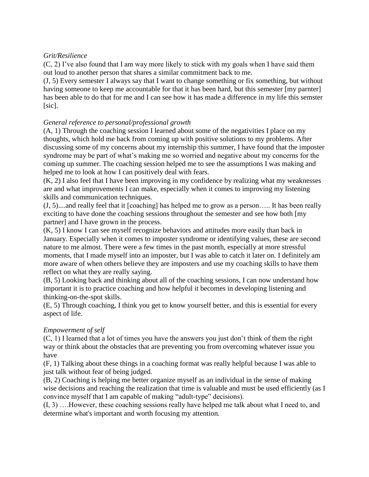## *Grit/Resilience*

 $(C, 2)$  I've also found that I am way more likely to stick with my goals when I have said them out loud to another person that shares a similar commitment back to me.

(J, 5) Every semester I always say that I want to change something or fix something, but without having someone to keep me accountable for that it has been hard, but this semester [my parnter] has been able to do that for me and I can see how it has made a difference in my life this semster [sic].

## *General reference to personal/professional growth*

(A, 1) Through the coaching session I learned about some of the negativities I place on my thoughts, which hold me back from coming up with positive solutions to my problems. After discussing some of my concerns about my internship this summer, I have found that the imposter syndrome may be part of what's making me so worried and negative about my concerns for the coming up summer. The coaching session helped me to see the assumptions I was making and helped me to look at how I can positively deal with fears.

(K, 2) I also feel that I have been improving in my confidence by realizing what my weaknesses are and what improvements I can make, especially when it comes to improving my listening skills and communication techniques.

(J, 5)....and really feel that it [coaching] has helped me to grow as a person….. It has been really exciting to have done the coaching sessions throughout the semester and see how both [my partner] and I have grown in the process.

(K, 5) I know I can see myself recognize behaviors and attitudes more easily than back in January. Especially when it comes to imposter syndrome or identifying values, these are second nature to me almost. There were a few times in the past month, especially at more stressful moments, that I made myself into an imposter, but I was able to catch it later on. I definitely am more aware of when others believe they are imposters and use my coaching skills to have them reflect on what they are really saying.

(B, 5) Looking back and thinking about all of the coaching sessions, I can now understand how important it is to practice coaching and how helpful it becomes in developing listening and thinking-on-the-spot skills.

(E, 5) Through coaching, I think you get to know yourself better, and this is essential for every aspect of life.

## *Empowerment of self*

(C, 1) I learned that a lot of times you have the answers you just don't think of them the right way or think about the obstacles that are preventing you from overcoming whatever issue you have

(F, 1) Talking about these things in a coaching format was really helpful because I was able to just talk without fear of being judged.

(B, 2) Coaching is helping me better organize myself as an individual in the sense of making wise decisions and reaching the realization that time is valuable and must be used efficiently (as I convince myself that I am capable of making "adult-type" decisions).

(I, 3) ….However, these coaching sessions really have helped me talk about what I need to, and determine what's important and worth focusing my attention.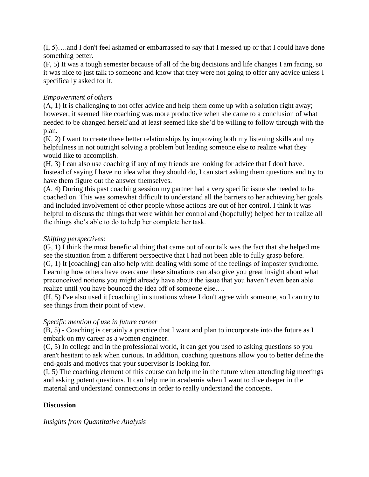(I, 5)….and I don't feel ashamed or embarrassed to say that I messed up or that I could have done something better.

(F, 5) It was a tough semester because of all of the big decisions and life changes I am facing, so it was nice to just talk to someone and know that they were not going to offer any advice unless I specifically asked for it.

# *Empowerment of others*

(A, 1) It is challenging to not offer advice and help them come up with a solution right away; however, it seemed like coaching was more productive when she came to a conclusion of what needed to be changed herself and at least seemed like she'd be willing to follow through with the plan.

(K, 2) I want to create these better relationships by improving both my listening skills and my helpfulness in not outright solving a problem but leading someone else to realize what they would like to accomplish.

(H, 3) I can also use coaching if any of my friends are looking for advice that I don't have. Instead of saying I have no idea what they should do, I can start asking them questions and try to have them figure out the answer themselves.

(A, 4) During this past coaching session my partner had a very specific issue she needed to be coached on. This was somewhat difficult to understand all the barriers to her achieving her goals and included involvement of other people whose actions are out of her control. I think it was helpful to discuss the things that were within her control and (hopefully) helped her to realize all the things she's able to do to help her complete her task.

## *Shifting perspectives:*

(G, 1) I think the most beneficial thing that came out of our talk was the fact that she helped me see the situation from a different perspective that I had not been able to fully grasp before. (G, 1) It [coaching] can also help with dealing with some of the feelings of imposter syndrome. Learning how others have overcame these situations can also give you great insight about what preconceived notions you might already have about the issue that you haven't even been able realize until you have bounced the idea off of someone else….

(H, 5) I've also used it [coaching] in situations where I don't agree with someone, so I can try to see things from their point of view.

## *Specific mention of use in future career*

(B, 5) - Coaching is certainly a practice that I want and plan to incorporate into the future as I embark on my career as a women engineer.

(C, 5) In college and in the professional world, it can get you used to asking questions so you aren't hesitant to ask when curious. In addition, coaching questions allow you to better define the end-goals and motives that your supervisor is looking for.

(I, 5) The coaching element of this course can help me in the future when attending big meetings and asking potent questions. It can help me in academia when I want to dive deeper in the material and understand connections in order to really understand the concepts.

# **Discussion**

## *Insights from Quantitative Analysis*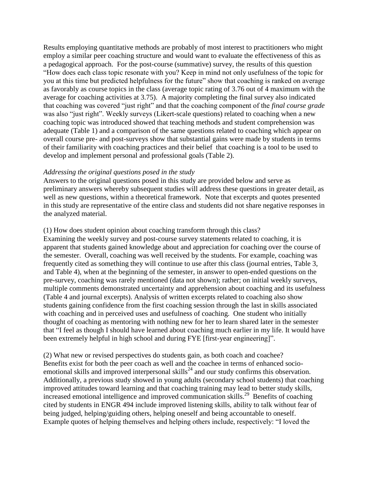Results employing quantitative methods are probably of most interest to practitioners who might employ a similar peer coaching structure and would want to evaluate the effectiveness of this as a pedagogical approach. For the post-course (summative) survey, the results of this question "How does each class topic resonate with you? Keep in mind not only usefulness of the topic for you at this time but predicted helpfulness for the future" show that coaching is ranked on average as favorably as course topics in the class (average topic rating of 3.76 out of 4 maximum with the average for coaching activities at 3.75). A majority completing the final survey also indicated that coaching was covered "just right" and that the coaching component of the *final course grade* was also "just right". Weekly surveys (Likert-scale questions) related to coaching when a new coaching topic was introduced showed that teaching methods and student comprehension was adequate (Table 1) and a comparison of the same questions related to coaching which appear on overall course pre- and post-surveys show that substantial gains were made by students in terms of their familiarity with coaching practices and their belief that coaching is a tool to be used to develop and implement personal and professional goals (Table 2).

#### *Addressing the original questions posed in the study*

Answers to the original questions posed in this study are provided below and serve as preliminary answers whereby subsequent studies will address these questions in greater detail, as well as new questions, within a theoretical framework. Note that excerpts and quotes presented in this study are representative of the entire class and students did not share negative responses in the analyzed material.

#### (1) How does student opinion about coaching transform through this class?

Examining the weekly survey and post-course survey statements related to coaching, it is apparent that students gained knowledge about and appreciation for coaching over the course of the semester. Overall, coaching was well received by the students. For example, coaching was frequently cited as something they will continue to use after this class (journal entries, Table 3, and Table 4), when at the beginning of the semester, in answer to open-ended questions on the pre-survey, coaching was rarely mentioned (data not shown); rather; on initial weekly surveys, multiple comments demonstrated uncertainty and apprehension about coaching and its usefulness (Table 4 and journal excerpts). Analysis of written excerpts related to coaching also show students gaining confidence from the first coaching session through the last in skills associated with coaching and in perceived uses and usefulness of coaching. One student who initially thought of coaching as mentoring with nothing new for her to learn shared later in the semester that "I feel as though I should have learned about coaching much earlier in my life. It would have been extremely helpful in high school and during FYE [first-year engineering]".

(2) What new or revised perspectives do students gain, as both coach and coachee? Benefits exist for both the peer coach as well and the coachee in terms of enhanced socioemotional skills and improved interpersonal skills<sup>24</sup> and our study confirms this observation. Additionally, a previous study showed in young adults (secondary school students) that coaching improved attitudes toward learning and that coaching training may lead to better study skills, increased emotional intelligence and improved communication skills.<sup>29</sup> Benefits of coaching cited by students in ENGR 494 include improved listening skills, ability to talk without fear of being judged, helping/guiding others, helping oneself and being accountable to oneself. Example quotes of helping themselves and helping others include, respectively: "I loved the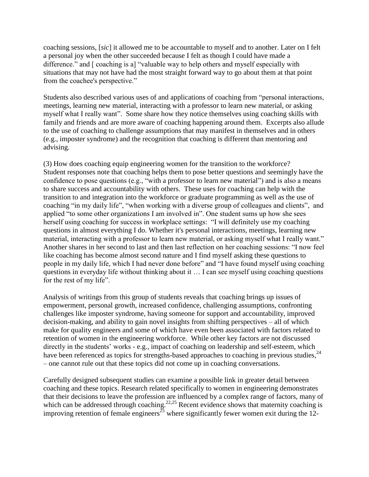coaching sessions, [*sic*] it allowed me to be accountable to myself and to another. Later on I felt a personal joy when the other succeeded because I felt as though I could have made a difference." and [ coaching is a] "valuable way to help others and myself especially with situations that may not have had the most straight forward way to go about them at that point from the coachee's perspective."

Students also described various uses of and applications of coaching from "personal interactions, meetings, learning new material, interacting with a professor to learn new material, or asking myself what I really want". Some share how they notice themselves using coaching skills with family and friends and are more aware of coaching happening around them. Excerpts also allude to the use of coaching to challenge assumptions that may manifest in themselves and in others (e.g., imposter syndrome) and the recognition that coaching is different than mentoring and advising.

(3) How does coaching equip engineering women for the transition to the workforce? Student responses note that coaching helps them to pose better questions and seemingly have the confidence to pose questions (e.g., "with a professor to learn new material") and is also a means to share success and accountability with others. These uses for coaching can help with the transition to and integration into the workforce or graduate programming as well as the use of coaching "in my daily life", "when working with a diverse group of colleagues and clients", and applied "to some other organizations I am involved in". One student sums up how she sees herself using coaching for success in workplace settings: "I will definitely use my coaching questions in almost everything I do. Whether it's personal interactions, meetings, learning new material, interacting with a professor to learn new material, or asking myself what I really want." Another shares in her second to last and then last reflection on her coaching sessions: "I now feel like coaching has become almost second nature and I find myself asking these questions to people in my daily life, which I had never done before" and "I have found myself using coaching questions in everyday life without thinking about it … I can see myself using coaching questions for the rest of my life".

Analysis of writings from this group of students reveals that coaching brings up issues of empowerment, personal growth, increased confidence, challenging assumptions, confronting challenges like imposter syndrome, having someone for support and accountability, improved decision-making, and ability to gain novel insights from shifting perspectives – all of which make for quality engineers and some of which have even been associated with factors related to retention of women in the engineering workforce. While other key factors are not discussed directly in the students' works - e.g., impact of coaching on leadership and self-esteem, which have been referenced as topics for strengths-based approaches to coaching in previous studies,<sup>24</sup> – one cannot rule out that these topics did not come up in coaching conversations.

Carefully designed subsequent studies can examine a possible link in greater detail between coaching and these topics. Research related specifically to women in engineering demonstrates that their decisions to leave the profession are influenced by a complex range of factors, many of which can be addressed through coaching.<sup>22,25</sup> Recent evidence shows that maternity coaching is improving retention of female engineers<sup>25</sup> where significantly fewer women exit during the 12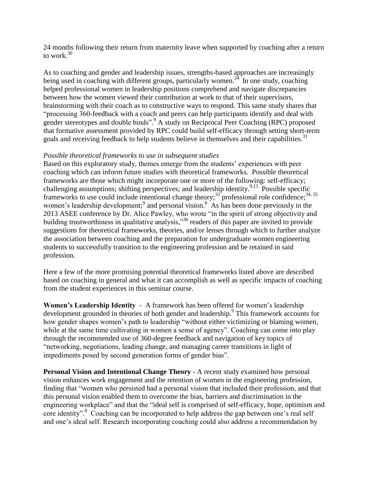24 months following their return from maternity leave when supported by coaching after a return to work. 30

As to coaching and gender and leadership issues, strengths-based approaches are increasingly being used in coaching with different groups, particularly women.<sup>24</sup> In one study, coaching helped professional women in leadership positions comprehend and navigate discrepancies between how the women viewed their contribution at work to that of their supervisors, brainstorming with their coach as to constructive ways to respond. This same study shares that "processing 360-feedback with a coach and peers can help participants identify and deal with gender stereotypes and double binds".<sup>9</sup> A study on Reciprocal Peer Coaching (RPC) proposed that formative assessment provided by RPC could build self-efficacy through setting short-term goals and receiving feedback to help students believe in themselves and their capabilities.<sup>31</sup>

#### *Possible theoretical frameworks to use in subsequent studies*

Based on this exploratory study, themes emerge from the students' experiences with peer coaching which can inform future studies with theoretical frameworks. Possible theoretical frameworks are those which might incorporate one or more of the following: self-efficacy; challenging assumptions; shifting perspectives; and leadership identity.<sup>9,13</sup> Possible specific frameworks to use could include intentional change theory;<sup>33</sup> professional role confidence;<sup>34, 35</sup> women's leadership development;<sup>9</sup> and personal vision.<sup>8</sup> As has been done previously in the 2013 ASEE conference by Dr. Alice Pawley, who wrote "in the spirit of strong objectivity and building trustworthiness in qualitative analysis,"<sup>36</sup> readers of this paper are invited to provide suggestions for theoretical frameworks, theories, and/or lenses through which to further analyze the association between coaching and the preparation for undergraduate women engineering students to successfully transition to the engineering profession and be retained in said profession.

Here a few of the more promising potential theoretical frameworks listed above are described based on coaching in general and what it can accomplish as well as specific impacts of coaching from the student experiences in this seminar course.

**Women's Leadership Identity** - A framework has been offered for women's leadership development grounded in theories of both gender and leadership.<sup>9</sup> This framework accounts for how gender shapes women's path to leadership "without either victimizing or blaming women, while at the same time cultivating in women a sense of agency". Coaching can come into play through the recommended use of 360-degree feedback and navigation of key topics of "networking, negotiations, leading change, and managing career transitions in light of impediments posed by second generation forms of gender bias".

**Personal Vision and Intentional Change Theory -** A recent study examined how personal vision enhances work engagement and the retention of women in the engineering profession, finding that "women who persisted had a personal vision that included their profession, and that this personal vision enabled them to overcome the bias, barriers and discrimination in the engineering workplace" and that the "ideal self is comprised of self-efficacy, hope, optimism and core identity".<sup>8</sup> Coaching can be incorporated to help address the gap between one's real self and one's ideal self. Research incorporating coaching could also address a recommendation by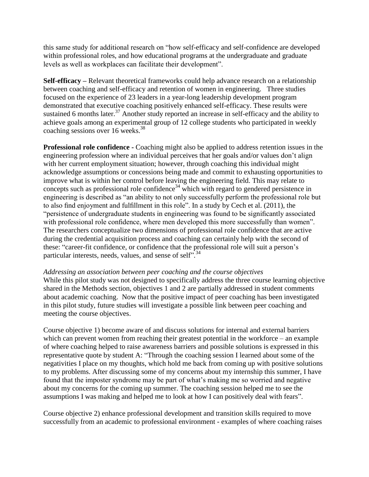this same study for additional research on "how self-efficacy and self-confidence are developed within professional roles, and how educational programs at the undergraduate and graduate levels as well as workplaces can facilitate their development".

**Self-efficacy –** Relevant theoretical frameworks could help advance research on a relationship between coaching and self-efficacy and retention of women in engineering. Three studies focused on the experience of 23 leaders in a year-long leadership development program demonstrated that executive coaching positively enhanced self-efficacy. These results were sustained 6 months later.<sup>37</sup> Another study reported an increase in self-efficacy and the ability to achieve goals among an experimental group of 12 college students who participated in weekly coaching sessions over 16 weeks.<sup>38</sup>

**Professional role confidence -** Coaching might also be applied to address retention issues in the engineering profession where an individual perceives that her goals and/or values don't align with her current employment situation; however, through coaching this individual might acknowledge assumptions or concessions being made and commit to exhausting opportunities to improve what is within her control before leaving the engineering field. This may relate to concepts such as professional role confidence<sup>34</sup> which with regard to gendered persistence in engineering is described as "an ability to not only successfully perform the professional role but to also find enjoyment and fulfillment in this role". In a study by Cech et al. (2011), the "persistence of undergraduate students in engineering was found to be significantly associated with professional role confidence, where men developed this more successfully than women". The researchers conceptualize two dimensions of professional role confidence that are active during the credential acquisition process and coaching can certainly help with the second of these: "career-fit confidence, or confidence that the professional role will suit a person's particular interests, needs, values, and sense of self"*.* 34

#### *Addressing an association between peer coaching and the course objectives*

While this pilot study was not designed to specifically address the three course learning objective shared in the Methods section, objectives 1 and 2 are partially addressed in student comments about academic coaching. Now that the positive impact of peer coaching has been investigated in this pilot study, future studies will investigate a possible link between peer coaching and meeting the course objectives.

Course objective 1) become aware of and discuss solutions for internal and external barriers which can prevent women from reaching their greatest potential in the workforce – an example of where coaching helped to raise awareness barriers and possible solutions is expressed in this representative quote by student A: "Through the coaching session I learned about some of the negativities I place on my thoughts, which hold me back from coming up with positive solutions to my problems. After discussing some of my concerns about my internship this summer, I have found that the imposter syndrome may be part of what's making me so worried and negative about my concerns for the coming up summer. The coaching session helped me to see the assumptions I was making and helped me to look at how I can positively deal with fears".

Course objective 2) enhance professional development and transition skills required to move successfully from an academic to professional environment - examples of where coaching raises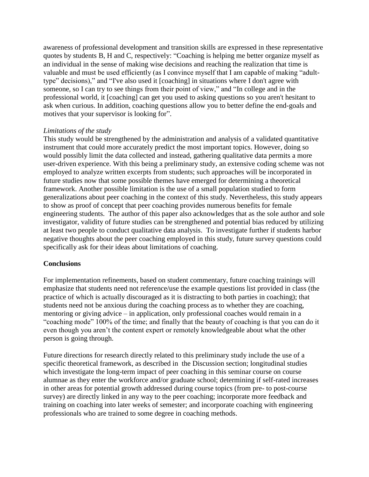awareness of professional development and transition skills are expressed in these representative quotes by students B, H and C, respectively: "Coaching is helping me better organize myself as an individual in the sense of making wise decisions and reaching the realization that time is valuable and must be used efficiently (as I convince myself that I am capable of making "adulttype" decisions)," and "I've also used it [coaching] in situations where I don't agree with someone, so I can try to see things from their point of view," and "In college and in the professional world, it [coaching] can get you used to asking questions so you aren't hesitant to ask when curious. In addition, coaching questions allow you to better define the end-goals and motives that your supervisor is looking for".

#### *Limitations of the study*

This study would be strengthened by the administration and analysis of a validated quantitative instrument that could more accurately predict the most important topics. However, doing so would possibly limit the data collected and instead, gathering qualitative data permits a more user-driven experience. With this being a preliminary study, an extensive coding scheme was not employed to analyze written excerpts from students; such approaches will be incorporated in future studies now that some possible themes have emerged for determining a theoretical framework. Another possible limitation is the use of a small population studied to form generalizations about peer coaching in the context of this study. Nevertheless, this study appears to show as proof of concept that peer coaching provides numerous benefits for female engineering students. The author of this paper also acknowledges that as the sole author and sole investigator, validity of future studies can be strengthened and potential bias reduced by utilizing at least two people to conduct qualitative data analysis. To investigate further if students harbor negative thoughts about the peer coaching employed in this study, future survey questions could specifically ask for their ideas about limitations of coaching.

## **Conclusions**

For implementation refinements, based on student commentary, future coaching trainings will emphasize that students need not reference/use the example questions list provided in class (the practice of which is actually discouraged as it is distracting to both parties in coaching); that students need not be anxious during the coaching process as to whether they are coaching, mentoring or giving advice – in application, only professional coaches would remain in a "coaching mode" 100% of the time; and finally that the beauty of coaching is that you can do it even though you aren't the content expert or remotely knowledgeable about what the other person is going through.

Future directions for research directly related to this preliminary study include the use of a specific theoretical framework, as described in the Discussion section; longitudinal studies which investigate the long-term impact of peer coaching in this seminar course on course alumnae as they enter the workforce and/or graduate school; determining if self-rated increases in other areas for potential growth addressed during course topics (from pre- to post-course survey) are directly linked in any way to the peer coaching; incorporate more feedback and training on coaching into later weeks of semester; and incorporate coaching with engineering professionals who are trained to some degree in coaching methods.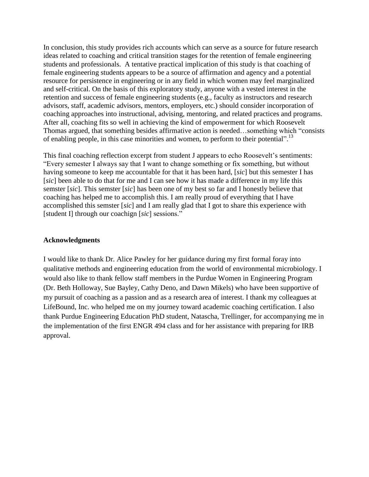In conclusion, this study provides rich accounts which can serve as a source for future research ideas related to coaching and critical transition stages for the retention of female engineering students and professionals. A tentative practical implication of this study is that coaching of female engineering students appears to be a source of affirmation and agency and a potential resource for persistence in engineering or in any field in which women may feel marginalized and self-critical. On the basis of this exploratory study, anyone with a vested interest in the retention and success of female engineering students (e.g., faculty as instructors and research advisors, staff, academic advisors, mentors, employers, etc.) should consider incorporation of coaching approaches into instructional, advising, mentoring, and related practices and programs. After all, coaching fits so well in achieving the kind of empowerment for which Roosevelt Thomas argued, that something besides affirmative action is needed…something which "consists of enabling people, in this case minorities and women, to perform to their potential".<sup>13</sup>

This final coaching reflection excerpt from student J appears to echo Roosevelt's sentiments: "Every semester I always say that I want to change something or fix something, but without having someone to keep me accountable for that it has been hard, [*sic*] but this semester I has [*sic*] been able to do that for me and I can see how it has made a difference in my life this semster [*sic*]. This semster [*sic*] has been one of my best so far and I honestly believe that coaching has helped me to accomplish this. I am really proud of everything that I have accomplished this semster [*sic*] and I am really glad that I got to share this experience with [student I] through our coachign [*sic*] sessions."

### **Acknowledgments**

I would like to thank Dr. Alice Pawley for her guidance during my first formal foray into qualitative methods and engineering education from the world of environmental microbiology. I would also like to thank fellow staff members in the Purdue Women in Engineering Program (Dr. Beth Holloway, Sue Bayley, Cathy Deno, and Dawn Mikels) who have been supportive of my pursuit of coaching as a passion and as a research area of interest. I thank my colleagues at LifeBound, Inc. who helped me on my journey toward academic coaching certification. I also thank Purdue Engineering Education PhD student, Natascha, Trellinger, for accompanying me in the implementation of the first ENGR 494 class and for her assistance with preparing for IRB approval.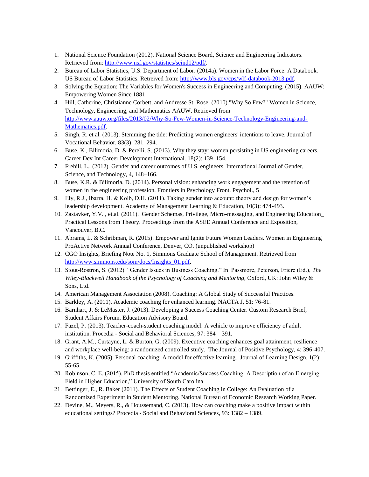- 1. National Science Foundation (2012). National Science Board, Science and Engineering Indicators. Retrieved from: [http://www.nsf.gov/statistics/seind12/pdf/.](http://www.nsf.gov/statistics/seind12/pdf/)
- 2. Bureau of Labor Statistics, U.S. Department of Labor. (2014a). Women in the Labor Force: A Databook. US Bureau of Labor Statistics. Retreived from: [http://www.bls.gov/cps/wlf-databook-2013.pdf.](http://www.bls.gov/cps/wlf-databook-2013.pdf)
- 3. Solving the Equation: The Variables for Women's Success in Engineering and Computing. (2015). AAUW: Empowering Women Since 1881.
- 4. Hill, Catherine, Christianne Corbett, and Andresse St. Rose. (2010)."Why So Few?" Women in Science, Technology, Engineering, and Mathematics AAUW. Retrieved from [http://www.aauw.org/files/2013/02/Why-So-Few-Women-in-Science-Technology-Engineering-and-](http://www.aauw.org/files/2013/02/Why-So-Few-Women-in-Science-Technology-Engineering-and-Mathematics.pdf)[Mathematics.pdf.](http://www.aauw.org/files/2013/02/Why-So-Few-Women-in-Science-Technology-Engineering-and-Mathematics.pdf)
- 5. Singh, R. et al. (2013). Stemming the tide: Predicting women engineers' intentions to leave. Journal of Vocational Behavior, 83(3): 281–294.
- 6. Buse, K., Bilimoria, D. & Perelli, S. (2013). Why they stay: women persisting in US engineering careers. Career Dev Int Career Development International. 18(2): 139–154.
- 7. Frehill, L., (2012). Gender and career outcomes of U.S. engineers. International Journal of Gender, Science, and Technology, 4, 148–166.
- 8. Buse, K.R. & Bilimoria, D. (2014). Personal vision: enhancing work engagement and the retention of women in the engineering profession. Frontiers in Psychology Front. Psychol., 5
- 9. Ely, R.J., Ibarra, H. & Kolb, D.H. (2011). Taking gender into account: theory and design for women's leadership development. Academy of Management Learning & Education, 10(3): 474-493.
- 10. Zastavker, Y.V. , et.al. (2011). Gender Schemas, Privilege, Micro-messaging, and Engineering Education\_ Practical Lessons from Theory. Proceedings from the ASEE Annual Conference and Exposition, Vancouver, B.C.
- 11. Abrams, L. & Schribman, R. (2015). Empower and Ignite Future Women Leaders. Women in Engineering ProActive Network Annual Conference, Denver, CO. (unpublished workshop)
- 12. CGO Insights, Briefing Note No. 1, Simmons Graduate School of Management. Retrieved from [http://www.simmons.edu/som/docs/Insights\\_01.pdf.](http://www.simmons.edu/som/docs/Insights_01.pdf)
- 13. Stout-Rostron, S. (2012). "Gender Issues in Business Coaching." In Passmore, Peterson, Friere (Ed.), *The Wiley-Blackwell Handbook of the Psychology of Coaching and Mentoring*, Oxford, UK: John Wiley & Sons, Ltd.
- 14. American Management Association (2008). Coaching: A Global Study of Successful Practices.
- 15. Barkley, A. (2011). Academic coaching for enhanced learning. NACTA J, 51: 76-81.
- 16. Barnhart, J. & LeMaster, J. (2013). Developing a Success Coaching Center. Custom Research Brief, Student Affairs Forum. Education Advisory Board.
- 17. Fazel, P. (2013). Teacher-coach-student coaching model: A vehicle to improve efficiency of adult institution. Procedia - Social and Behavioral Sciences, 97: 384 – 391.
- 18. Grant, A.M., Curtayne, L. & Burton, G. (2009). Executive coaching enhances goal attainment, resilience and workplace well-being: a randomized controlled study. The Journal of Positive Psychology, 4: 396-407.
- 19. Griffiths, K. (2005). Personal coaching: A model for effective learning. Journal of Learning Design, 1(2): 55-65.
- 20. Robinson, C. E. (2015). PhD thesis entitled "Academic/Success Coaching: A Description of an Emerging Field in Higher Education," University of South Carolina
- 21. Bettinger, E., R. Baker (2011). The Effects of Student Coaching in College: An Evaluation of a Randomized Experiment in Student Mentoring. National Bureau of Economic Research Working Paper.
- 22. Devine, M., Meyers, R., & Houssemand, C. (2013). How can coaching make a positive impact within educational settings? Procedia - Social and Behavioral Sciences, 93: 1382 – 1389.